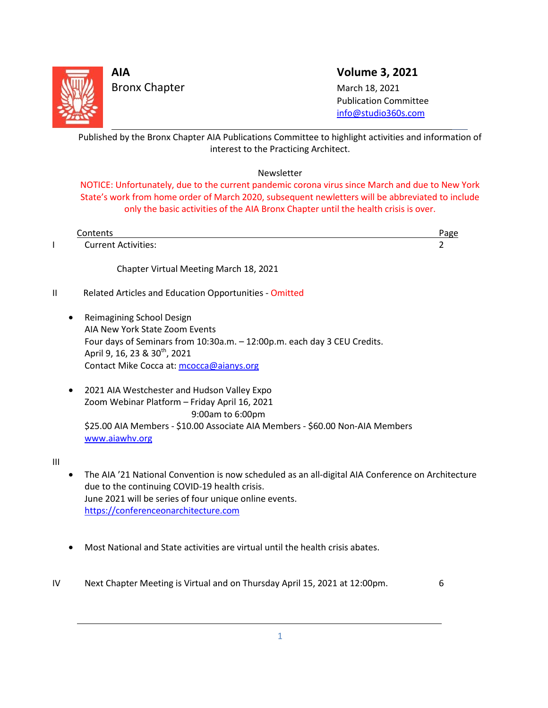

Bronx Chapter March 18, 2021

**AIA Volume 3, 2021**

 Publication Committee [info@studio360s.com](mailto:info@studio360s.com)

Published by the Bronx Chapter AIA Publications Committee to highlight activities and information of interest to the Practicing Architect. L

### Newsletter

NOTICE: Unfortunately, due to the current pandemic corona virus since March and due to New York State's work from home order of March 2020, subsequent newletters will be abbreviated to include only the basic activities of the AIA Bronx Chapter until the health crisis is over.

|               | Contents                                               | Page |
|---------------|--------------------------------------------------------|------|
|               | <b>Current Activities:</b>                             |      |
|               | Chapter Virtual Meeting March 18, 2021                 |      |
| $\mathsf{II}$ | Related Articles and Education Opportunities - Omitted |      |

- Reimagining School Design AIA New York State Zoom Events Four days of Seminars from 10:30a.m. – 12:00p.m. each day 3 CEU Credits. April 9, 16, 23 & 30<sup>th</sup>, 2021 Contact Mike Cocca at[: mcocca@aianys.org](mailto:mcocca@aianys.org)
- 2021 AIA Westchester and Hudson Valley Expo Zoom Webinar Platform – Friday April 16, 2021 9:00am to 6:00pm \$25.00 AIA Members - \$10.00 Associate AIA Members - \$60.00 Non-AIA Members [www.aiawhv.org](http://www.aiawhv.org/)

III

L

- The AIA '21 National Convention is now scheduled as an all-digital AIA Conference on Architecture due to the continuing COVID-19 health crisis. June 2021 will be series of four unique online events. [https://conferenceonarchitecture.com](https://conferenceonarchitecture.com/)
- Most National and State activities are virtual until the health crisis abates.
- IV Next Chapter Meeting is Virtual and on Thursday April 15, 2021 at 12:00pm. 6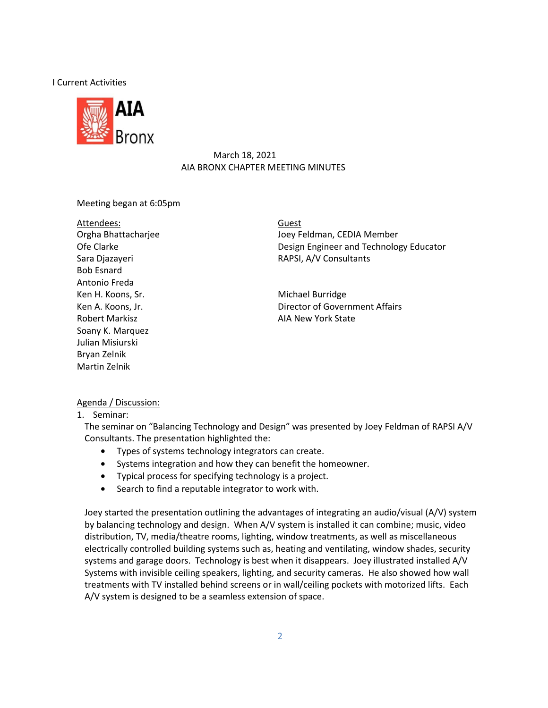### I Current Activities



### March 18, 2021 AIA BRONX CHAPTER MEETING MINUTES

### Meeting began at 6:05pm

Attendees: Bob Esnard Antonio Freda Ken H. Koons, Sr. Michael Burridge Robert Markisz **AIA New York State** Soany K. Marquez Julian Misiurski Bryan Zelnik Martin Zelnik

Orgha Bhattacharjee **Joey Feldman, CEDIA Member** Guest Ofe Clarke **Design Engineer and Technology Educator** Design Engineer and Technology Educator Sara Djazayeri **RAPSI, A/V Consultants** 

Ken A. Koons, Jr. **Example 20 Intervals** 2. All Director of Government Affairs

### Agenda / Discussion:

1. Seminar:

The seminar on "Balancing Technology and Design" was presented by Joey Feldman of RAPSI A/V Consultants. The presentation highlighted the:

- Types of systems technology integrators can create.
- Systems integration and how they can benefit the homeowner.
- Typical process for specifying technology is a project.
- Search to find a reputable integrator to work with.

Joey started the presentation outlining the advantages of integrating an audio/visual (A/V) system by balancing technology and design. When A/V system is installed it can combine; music, video distribution, TV, media/theatre rooms, lighting, window treatments, as well as miscellaneous electrically controlled building systems such as, heating and ventilating, window shades, security systems and garage doors. Technology is best when it disappears. Joey illustrated installed A/V Systems with invisible ceiling speakers, lighting, and security cameras. He also showed how wall treatments with TV installed behind screens or in wall/ceiling pockets with motorized lifts. Each A/V system is designed to be a seamless extension of space.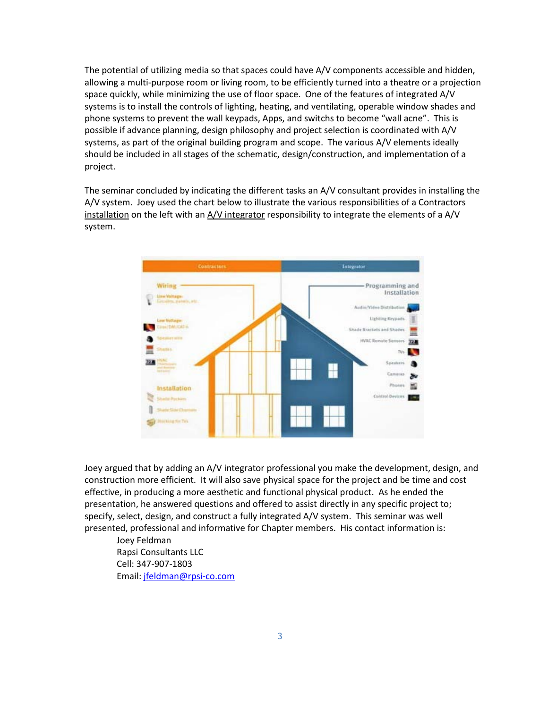The potential of utilizing media so that spaces could have A/V components accessible and hidden, allowing a multi-purpose room or living room, to be efficiently turned into a theatre or a projection space quickly, while minimizing the use of floor space. One of the features of integrated A/V systems is to install the controls of lighting, heating, and ventilating, operable window shades and phone systems to prevent the wall keypads, Apps, and switchs to become "wall acne". This is possible if advance planning, design philosophy and project selection is coordinated with A/V systems, as part of the original building program and scope. The various A/V elements ideally should be included in all stages of the schematic, design/construction, and implementation of a project.

The seminar concluded by indicating the different tasks an A/V consultant provides in installing the A/V system. Joey used the chart below to illustrate the various responsibilities of a Contractors installation on the left with an  $A/V$  integrator responsibility to integrate the elements of a  $A/V$ system.



Joey argued that by adding an A/V integrator professional you make the development, design, and construction more efficient. It will also save physical space for the project and be time and cost effective, in producing a more aesthetic and functional physical product. As he ended the presentation, he answered questions and offered to assist directly in any specific project to; specify, select, design, and construct a fully integrated A/V system. This seminar was well presented, professional and informative for Chapter members. His contact information is:

Joey Feldman Rapsi Consultants LLC Cell: 347-907-1803 Email[: jfeldman@rpsi-co.com](mailto:jfeldman@rpsi-co.com)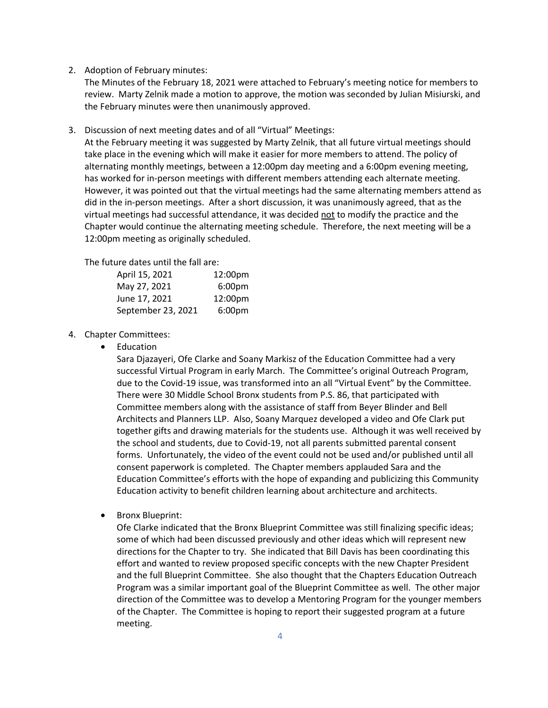2. Adoption of February minutes:

The Minutes of the February 18, 2021 were attached to February's meeting notice for members to review. Marty Zelnik made a motion to approve, the motion was seconded by Julian Misiurski, and the February minutes were then unanimously approved.

3. Discussion of next meeting dates and of all "Virtual" Meetings:

At the February meeting it was suggested by Marty Zelnik, that all future virtual meetings should take place in the evening which will make it easier for more members to attend. The policy of alternating monthly meetings, between a 12:00pm day meeting and a 6:00pm evening meeting, has worked for in-person meetings with different members attending each alternate meeting. However, it was pointed out that the virtual meetings had the same alternating members attend as did in the in-person meetings. After a short discussion, it was unanimously agreed, that as the virtual meetings had successful attendance, it was decided not to modify the practice and the Chapter would continue the alternating meeting schedule. Therefore, the next meeting will be a 12:00pm meeting as originally scheduled.

The future dates until the fall are:

| April 15, 2021     | 12:00pm            |
|--------------------|--------------------|
| May 27, 2021       | 6:00 <sub>pm</sub> |
| June 17, 2021      | 12:00pm            |
| September 23, 2021 | 6:00 <sub>pm</sub> |

- 4. Chapter Committees:
	- Education

Sara Djazayeri, Ofe Clarke and Soany Markisz of the Education Committee had a very successful Virtual Program in early March. The Committee's original Outreach Program, due to the Covid-19 issue, was transformed into an all "Virtual Event" by the Committee. There were 30 Middle School Bronx students from P.S. 86, that participated with Committee members along with the assistance of staff from Beyer Blinder and Bell Architects and Planners LLP. Also, Soany Marquez developed a video and Ofe Clark put together gifts and drawing materials for the students use. Although it was well received by the school and students, due to Covid-19, not all parents submitted parental consent forms. Unfortunately, the video of the event could not be used and/or published until all consent paperwork is completed. The Chapter members applauded Sara and the Education Committee's efforts with the hope of expanding and publicizing this Community Education activity to benefit children learning about architecture and architects.

• Bronx Blueprint:

Ofe Clarke indicated that the Bronx Blueprint Committee was still finalizing specific ideas; some of which had been discussed previously and other ideas which will represent new directions for the Chapter to try. She indicated that Bill Davis has been coordinating this effort and wanted to review proposed specific concepts with the new Chapter President and the full Blueprint Committee. She also thought that the Chapters Education Outreach Program was a similar important goal of the Blueprint Committee as well. The other major direction of the Committee was to develop a Mentoring Program for the younger members of the Chapter. The Committee is hoping to report their suggested program at a future meeting.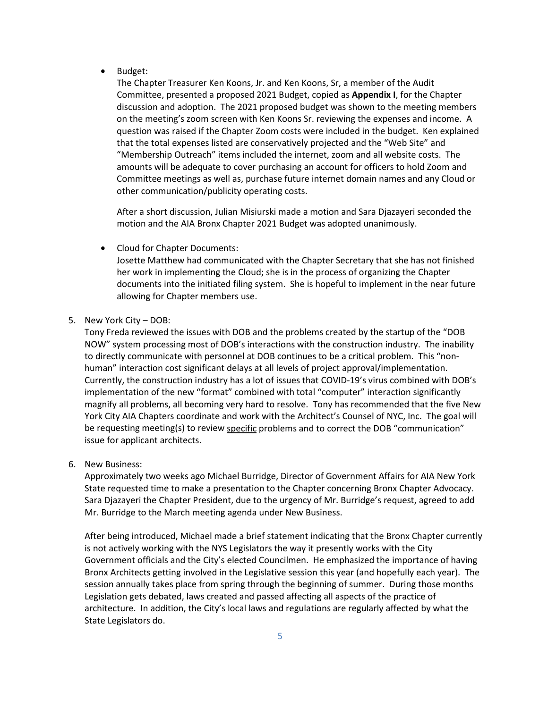• Budget:

The Chapter Treasurer Ken Koons, Jr. and Ken Koons, Sr, a member of the Audit Committee, presented a proposed 2021 Budget, copied as **Appendix I**, for the Chapter discussion and adoption. The 2021 proposed budget was shown to the meeting members on the meeting's zoom screen with Ken Koons Sr. reviewing the expenses and income. A question was raised if the Chapter Zoom costs were included in the budget. Ken explained that the total expenses listed are conservatively projected and the "Web Site" and "Membership Outreach" items included the internet, zoom and all website costs. The amounts will be adequate to cover purchasing an account for officers to hold Zoom and Committee meetings as well as, purchase future internet domain names and any Cloud or other communication/publicity operating costs.

After a short discussion, Julian Misiurski made a motion and Sara Djazayeri seconded the motion and the AIA Bronx Chapter 2021 Budget was adopted unanimously.

• Cloud for Chapter Documents:

Josette Matthew had communicated with the Chapter Secretary that she has not finished her work in implementing the Cloud; she is in the process of organizing the Chapter documents into the initiated filing system. She is hopeful to implement in the near future allowing for Chapter members use.

5. New York City – DOB:

Tony Freda reviewed the issues with DOB and the problems created by the startup of the "DOB NOW" system processing most of DOB's interactions with the construction industry. The inability to directly communicate with personnel at DOB continues to be a critical problem. This "nonhuman" interaction cost significant delays at all levels of project approval/implementation. Currently, the construction industry has a lot of issues that COVID-19's virus combined with DOB's implementation of the new "format" combined with total "computer" interaction significantly magnify all problems, all becoming very hard to resolve. Tony has recommended that the five New York City AIA Chapters coordinate and work with the Architect's Counsel of NYC, Inc. The goal will be requesting meeting(s) to review specific problems and to correct the DOB "communication" issue for applicant architects.

6. New Business:

Approximately two weeks ago Michael Burridge, Director of Government Affairs for AIA New York State requested time to make a presentation to the Chapter concerning Bronx Chapter Advocacy. Sara Djazayeri the Chapter President, due to the urgency of Mr. Burridge's request, agreed to add Mr. Burridge to the March meeting agenda under New Business.

After being introduced, Michael made a brief statement indicating that the Bronx Chapter currently is not actively working with the NYS Legislators the way it presently works with the City Government officials and the City's elected Councilmen. He emphasized the importance of having Bronx Architects getting involved in the Legislative session this year (and hopefully each year). The session annually takes place from spring through the beginning of summer. During those months Legislation gets debated, laws created and passed affecting all aspects of the practice of architecture. In addition, the City's local laws and regulations are regularly affected by what the State Legislators do.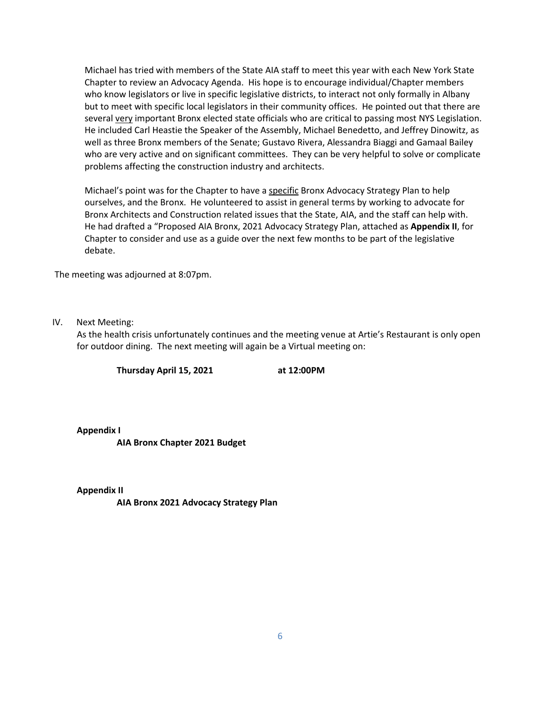Michael has tried with members of the State AIA staff to meet this year with each New York State Chapter to review an Advocacy Agenda. His hope is to encourage individual/Chapter members who know legislators or live in specific legislative districts, to interact not only formally in Albany but to meet with specific local legislators in their community offices. He pointed out that there are several very important Bronx elected state officials who are critical to passing most NYS Legislation. He included Carl Heastie the Speaker of the Assembly, Michael Benedetto, and Jeffrey Dinowitz, as well as three Bronx members of the Senate; Gustavo Rivera, Alessandra Biaggi and Gamaal Bailey who are very active and on significant committees. They can be very helpful to solve or complicate problems affecting the construction industry and architects.

Michael's point was for the Chapter to have a specific Bronx Advocacy Strategy Plan to help ourselves, and the Bronx. He volunteered to assist in general terms by working to advocate for Bronx Architects and Construction related issues that the State, AIA, and the staff can help with. He had drafted a "Proposed AIA Bronx, 2021 Advocacy Strategy Plan, attached as **Appendix II**, for Chapter to consider and use as a guide over the next few months to be part of the legislative debate.

The meeting was adjourned at 8:07pm.

IV. Next Meeting:

As the health crisis unfortunately continues and the meeting venue at Artie's Restaurant is only open for outdoor dining. The next meeting will again be a Virtual meeting on:

**Thursday April 15, 2021 at 12:00PM**

**Appendix I**

**AIA Bronx Chapter 2021 Budget** 

**Appendix II**

**AIA Bronx 2021 Advocacy Strategy Plan**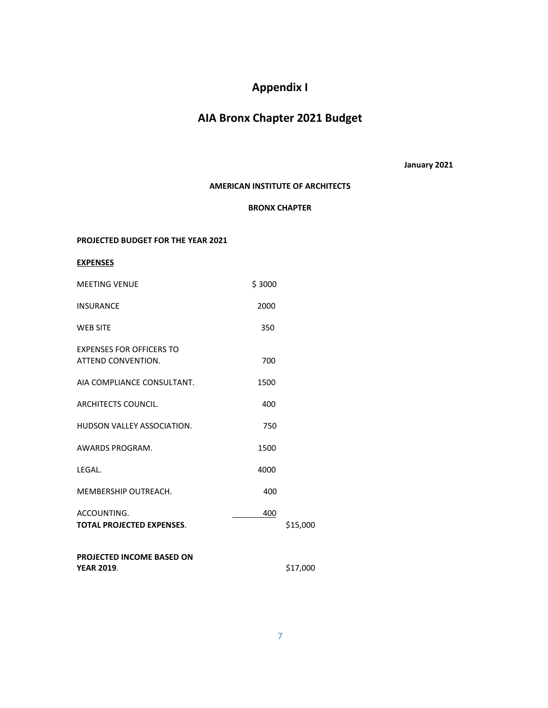# **Appendix I**

# **AIA Bronx Chapter 2021 Budget**

**January 2021**

### **AMERICAN INSTITUTE OF ARCHITECTS**

### **BRONX CHAPTER**

### **PROJECTED BUDGET FOR THE YEAR 2021**

**EXPENSES**

| <b>MFFTING VENUE</b>                                  | \$3000 |          |
|-------------------------------------------------------|--------|----------|
| <b>INSURANCE</b>                                      | 2000   |          |
| <b>WEB SITE</b>                                       | 350    |          |
| <b>EXPENSES FOR OFFICERS TO</b><br>ATTEND CONVENTION. | 700    |          |
| AIA COMPLIANCE CONSULTANT.                            | 1500   |          |
| <b>ARCHITECTS COUNCIL.</b>                            | 400    |          |
| HUDSON VALLEY ASSOCIATION.                            | 750    |          |
| AWARDS PROGRAM.                                       | 1500   |          |
| LEGAL.                                                | 4000   |          |
| MEMBERSHIP OUTREACH.                                  | 400    |          |
| ACCOUNTING.<br><b>TOTAL PROJECTED EXPENSES.</b>       | 400    | \$15,000 |
| <b>PROJECTED INCOME BASED ON</b><br><b>YEAR 2019.</b> |        | \$17,000 |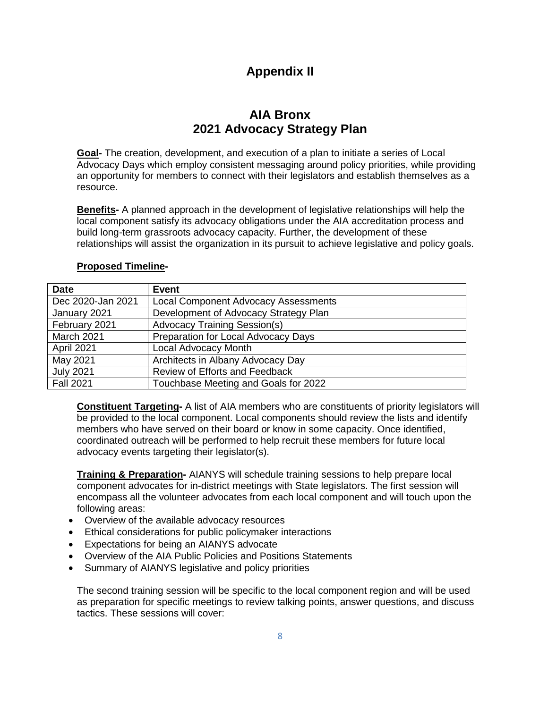# **Appendix II**

# **AIA Bronx 2021 Advocacy Strategy Plan**

**Goal-** The creation, development, and execution of a plan to initiate a series of Local Advocacy Days which employ consistent messaging around policy priorities, while providing an opportunity for members to connect with their legislators and establish themselves as a resource.

**Benefits-** A planned approach in the development of legislative relationships will help the local component satisfy its advocacy obligations under the AIA accreditation process and build long-term grassroots advocacy capacity. Further, the development of these relationships will assist the organization in its pursuit to achieve legislative and policy goals.

| <b>Date</b>       | Event                                       |
|-------------------|---------------------------------------------|
| Dec 2020-Jan 2021 | <b>Local Component Advocacy Assessments</b> |
| January 2021      | Development of Advocacy Strategy Plan       |
| February 2021     | <b>Advocacy Training Session(s)</b>         |
| March 2021        | Preparation for Local Advocacy Days         |
| April 2021        | Local Advocacy Month                        |
| May 2021          | Architects in Albany Advocacy Day           |
| <b>July 2021</b>  | Review of Efforts and Feedback              |
| <b>Fall 2021</b>  | Touchbase Meeting and Goals for 2022        |

### **Proposed Timeline-**

**Constituent Targeting-** A list of AIA members who are constituents of priority legislators will be provided to the local component. Local components should review the lists and identify members who have served on their board or know in some capacity. Once identified, coordinated outreach will be performed to help recruit these members for future local advocacy events targeting their legislator(s).

**Training & Preparation -** AIANYS will schedule training sessions to help prepare local component advocates for in-district meetings with State legislators. The first session will encompass all the volunteer advocates from each local component and will touch upon the following areas:

- Overview of the available advocacy resources
- Ethical considerations for public policymaker interactions
- Expectations for being an AIANYS advocate
- Overview of the AIA Public Policies and Positions Statements
- Summary of AIANYS legislative and policy priorities

The second training session will be specific to the local component region and will be used as preparation for specific meetings to review talking points, answer questions, and discuss tactics. These sessions will cover: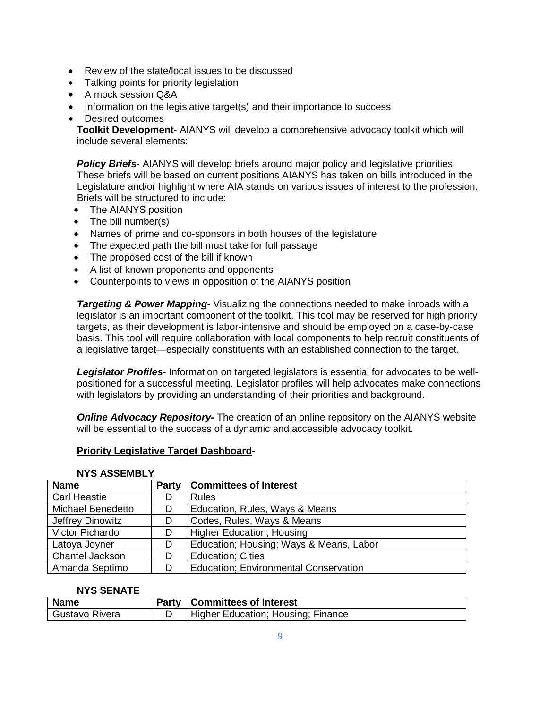- Review of the state/local issues to be discussed
- Talking points for priority legislation
- A mock session Q&A
- Information on the legislative target(s) and their importance to success
- Desired outcomes

**Toolkit Development-** AIANYS will develop a comprehensive advocacy toolkit which will include several elements:

*Policy Briefs-* AIANYS will develop briefs around major policy and legislative priorities. These briefs will be based on current positions AIANYS has taken on bills introduced in the Legislature and/or highlight where AIA stands on various issues of interest to the profession. Briefs will be structured to include:

- The AIANYS position
- The bill number(s)
- Names of prime and co-sponsors in both houses of the legislature
- The expected path the bill must take for full passage
- The proposed cost of the bill if known
- A list of known proponents and opponents
- Counterpoints to views in opposition of the AIANYS position

**Targeting & Power Mapping-** Visualizing the connections needed to make inroads with a legislator is an important component of the toolkit. This tool may be reserved for high priority targets, as their development is labor-intensive and should be employed on a case-by-case basis. This tool will require collaboration with local components to help recruit constituents of a legislative target—especially constituents with an established connection to the target.

*Legislator Profiles-* Information on targeted legislators is essential for advocates to be wellpositioned for a successful meeting. Legislator profiles will help advocates make connections with legislators by providing an understanding of their priorities and background.

*Online Advocacy Repository-* The creation of an online repository on the AIANYS website will be essential to the success of a dynamic and accessible advocacy toolkit.

### **Priority Legislative Target Dashboard-**

### **NYS ASSEMBLY**

| <b>Name</b>              | <b>Party</b> | <b>Committees of Interest</b>                |
|--------------------------|--------------|----------------------------------------------|
| <b>Carl Heastie</b>      | D            | <b>Rules</b>                                 |
| <b>Michael Benedetto</b> | D            | Education, Rules, Ways & Means               |
| Jeffrey Dinowitz         | D            | Codes, Rules, Ways & Means                   |
| Victor Pichardo          | D            | <b>Higher Education; Housing</b>             |
| Latoya Joyner            | D            | Education; Housing; Ways & Means, Labor      |
| Chantel Jackson          | D            | <b>Education</b> ; Cities                    |
| Amanda Septimo           | D            | <b>Education; Environmental Conservation</b> |

### **NYS SENATE**

| Name           | Party | <b>Committees of Interest</b>      |
|----------------|-------|------------------------------------|
| Gustavo Rivera |       | Higher Education; Housing; Finance |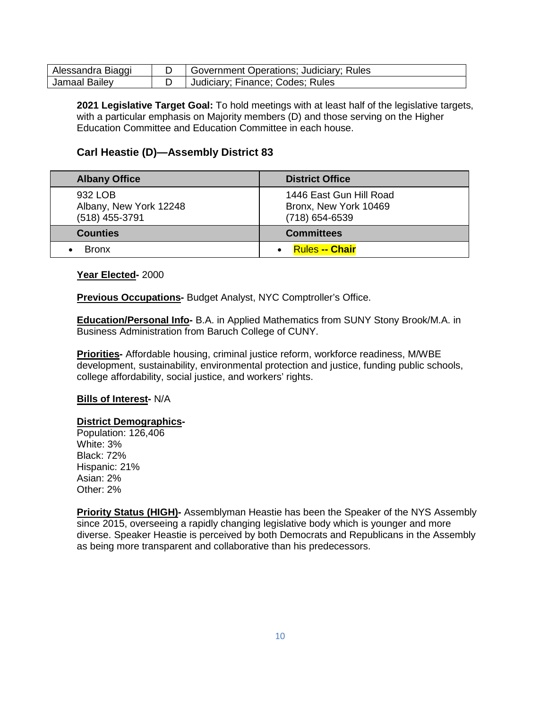| Alessandra Biaggi | Government Operations; Judiciary; Rules |
|-------------------|-----------------------------------------|
| Jamaal Bailev     | Judiciary; Finance; Codes; Rules        |

**2021 Legislative Target Goal:** To hold meetings with at least half of the legislative targets, with a particular emphasis on Majority members (D) and those serving on the Higher Education Committee and Education Committee in each house.

# **Carl Heastie (D)—Assembly District 83**

| <b>Albany Office</b>                                | <b>District Office</b>                                             |
|-----------------------------------------------------|--------------------------------------------------------------------|
| 932 LOB<br>Albany, New York 12248<br>(518) 455-3791 | 1446 East Gun Hill Road<br>Bronx, New York 10469<br>(718) 654-6539 |
| <b>Counties</b>                                     | <b>Committees</b>                                                  |
| <b>Bronx</b>                                        | <b>Rules -- Chair</b>                                              |

**Year Elected-** 2000

**Previous Occupations-** Budget Analyst, NYC Comptroller's Office.

**Education/Personal Info-** B.A. in Applied Mathematics from SUNY Stony Brook/M.A. in Business Administration from Baruch College of CUNY.

**Priorities-** Affordable housing, criminal justice reform, workforce readiness, M/WBE development, sustainability, environmental protection and justice, funding public schools, college affordability, social justice, and workers' rights.

### **Bills of Interest-** N/A

#### **District Demographics -**

Population: 126,406 White: 3% Black: 72% Hispanic: 21% Asian: 2% Other: 2%

**Priority Status (HIGH)-** Assemblyman Heastie has been the Speaker of the NYS Assembly since 2015, overseeing a rapidly changing legislative body which is younger and more diverse. Speaker Heastie is perceived by both Democrats and Republicans in the Assembly as being more transparent and collaborative than his predecessors.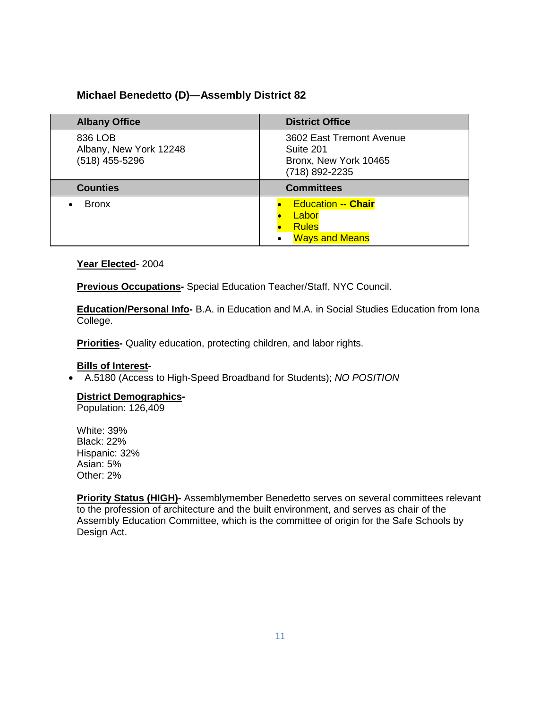# **Michael Benedetto (D)—Assembly District 82**

| <b>Albany Office</b>                                  | <b>District Office</b>                                                           |
|-------------------------------------------------------|----------------------------------------------------------------------------------|
| 836 LOB<br>Albany, New York 12248<br>$(518)$ 455-5296 | 3602 East Tremont Avenue<br>Suite 201<br>Bronx, New York 10465<br>(718) 892-2235 |
| <b>Counties</b>                                       | <b>Committees</b>                                                                |
| <b>Bronx</b>                                          | <b>Education -- Chair</b><br>Labor<br><b>Rules</b><br><b>Ways and Means</b>      |

## **Year Elected-** 2004

**Previous Occupations-** Special Education Teacher/Staff, NYC Council.

**Education/Personal Info-** B.A. in Education and M.A. in Social Studies Education from Iona College.

**Priorities-** Quality education, protecting children, and labor rights.

## **Bills of Interest -**

• A.5180 (Access to High-Speed Broadband for Students); *NO POSITION*

**-**

## **District Demographics**

Population: 126,409

White: 39% Black: 22% Hispanic: 32% Asian: 5% Other: 2%

**Priority Status (HIGH)-** Assemblymember Benedetto serves on several committees relevant to the profession of architecture and the built environment, and serves as chair of the Assembly Education Committee, which is the committee of origin for the Safe Schools by Design Act.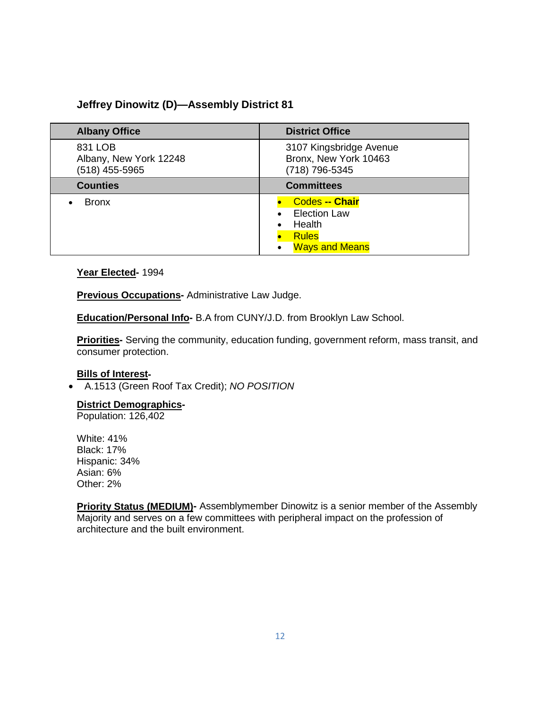# **Jeffrey Dinowitz (D)—Assembly District 81**

| <b>Albany Office</b>                                | <b>District Office</b>                                                                          |
|-----------------------------------------------------|-------------------------------------------------------------------------------------------------|
| 831 LOB<br>Albany, New York 12248<br>(518) 455-5965 | 3107 Kingsbridge Avenue<br>Bronx, New York 10463<br>(718) 796-5345                              |
| <b>Counties</b>                                     | <b>Committees</b>                                                                               |
| <b>Bronx</b>                                        | <b>Codes -- Chair</b><br><b>Election Law</b><br>Health<br><b>Rules</b><br><b>Ways and Means</b> |

### **Year Elected-** 1994

**Previous Occupations**- Administrative Law Judge.

**Education/Personal Info-** B.A from CUNY/J.D. from Brooklyn Law School.

**Priorities-** Serving the community, education funding, government reform, mass transit, and consumer protection.

## **Bills of Interest -**

• A.1513 (Green Roof Tax Credit); *NO POSITION*

#### **District Demographics -**

Population: 126,402

White: 41% Black: 17% Hispanic: 34% Asian: 6% Other: 2%

**Priority Status (MEDIUM)-** Assemblymember Dinowitz is a senior member of the Assembly Majority and serves on a few committees with peripheral impact on the profession of architecture and the built environment.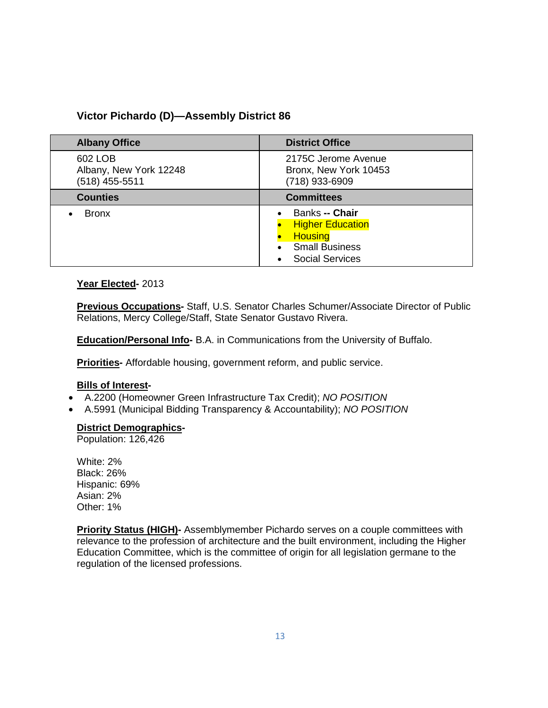# **Victor Pichardo (D)—Assembly District 86**

| <b>Albany Office</b>                                  | <b>District Office</b>                                                                                         |
|-------------------------------------------------------|----------------------------------------------------------------------------------------------------------------|
| 602 LOB<br>Albany, New York 12248<br>$(518)$ 455-5511 | 2175C Jerome Avenue<br>Bronx, New York 10453<br>(718) 933-6909                                                 |
| <b>Counties</b>                                       | <b>Committees</b>                                                                                              |
| <b>Bronx</b>                                          | Banks -- Chair<br><b>Higher Education</b><br><b>Housing</b><br><b>Small Business</b><br><b>Social Services</b> |

## **Year Elected-** 2013

**Previous Occupations-** Staff, U.S. Senator Charles Schumer/Associate Director of Public Relations, Mercy College/Staff, State Senator Gustavo Rivera.

**Education/Personal Info-** B.A. in Communications from the University of Buffalo.

**Priorities-** Affordable housing, government reform, and public service.

## **Bills of Interest -**

- A.2200 (Homeowner Green Infrastructure Tax Credit); *NO POSITION*
- A.5991 (Municipal Bidding Transparency & Accountability); *NO POSITION*

#### **District Demographics -**

Population: 126,426

White: 2% Black: 26% Hispanic: 69% Asian: 2% Other: 1%

**Priority Status (HIGH)-** Assemblymember Pichardo serves on a couple committees with relevance to the profession of architecture and the built environment, including the Higher Education Committee, which is the committee of origin for all legislation germane to the regulation of the licensed professions.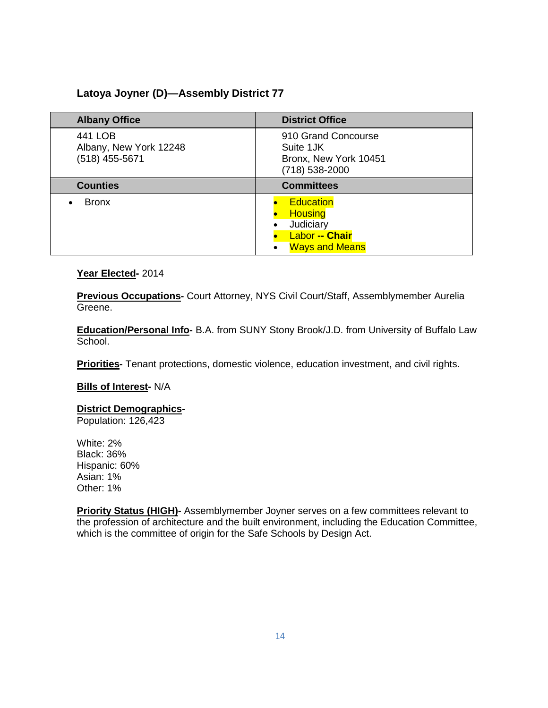# **Latoya Joyner (D)—Assembly District 77**

| <b>Albany Office</b>                                  | <b>District Office</b>                                                                            |
|-------------------------------------------------------|---------------------------------------------------------------------------------------------------|
| 441 LOB<br>Albany, New York 12248<br>$(518)$ 455-5671 | 910 Grand Concourse<br>Suite 1JK<br>Bronx, New York 10451<br>(718) 538-2000                       |
| <b>Counties</b>                                       | <b>Committees</b>                                                                                 |
| <b>Bronx</b>                                          | <b>Education</b><br><b>Housing</b><br>Judiciary<br><b>Labor -- Chair</b><br><b>Ways and Means</b> |

## **Year Elected-** 2014

**Previous Occupations-** Court Attorney, NYS Civil Court/Staff, Assemblymember Aurelia Greene.

**Education/Personal Info-** B.A. from SUNY Stony Brook/J.D. from University of Buffalo Law School.

**Priorities-** Tenant protections, domestic violence, education investment, and civil rights.

**Bills of Interest-** N/A

#### **District Demographics -**

Population: 126,423

White: 2% Black: 36% Hispanic: 60% Asian: 1% Other: 1%

**Priority Status (HIGH)-** Assemblymember Joyner serves on a few committees relevant to the profession of architecture and the built environment, including the Education Committee, which is the committee of origin for the Safe Schools by Design Act.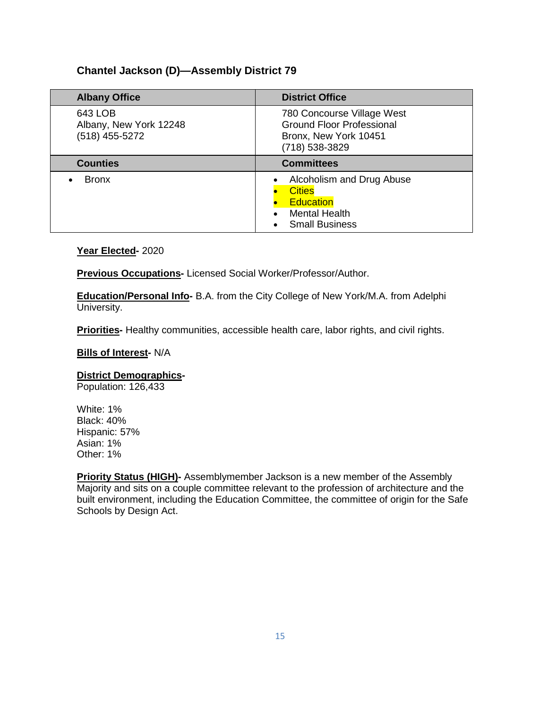# **Chantel Jackson (D)—Assembly District 79**

| <b>Albany Office</b>                                | <b>District Office</b>                                                                                          |
|-----------------------------------------------------|-----------------------------------------------------------------------------------------------------------------|
| 643 LOB<br>Albany, New York 12248<br>(518) 455-5272 | 780 Concourse Village West<br><b>Ground Floor Professional</b><br>Bronx, New York 10451<br>(718) 538-3829       |
| <b>Counties</b>                                     | <b>Committees</b>                                                                                               |
| <b>Bronx</b>                                        | Alcoholism and Drug Abuse<br><b>Cities</b><br><b>Education</b><br><b>Mental Health</b><br><b>Small Business</b> |

### **Year Elected-** 2020

**Previous Occupations-** Licensed Social Worker/Professor/Author.

**Education/Personal Info-** B.A. from the City College of New York/M.A. from Adelphi University.

**Priorities-** Healthy communities, accessible health care, labor rights, and civil rights.

### **Bills of Interest-** N/A

#### **District Demographics -**

Population: 126,433

White: 1% Black: 40% Hispanic: 57% Asian: 1% Other: 1%

**Priority Status (HIGH)-** Assemblymember Jackson is a new member of the Assembly Majority and sits on a couple committee relevant to the profession of architecture and the built environment, including the Education Committee, the committee of origin for the Safe Schools by Design Act.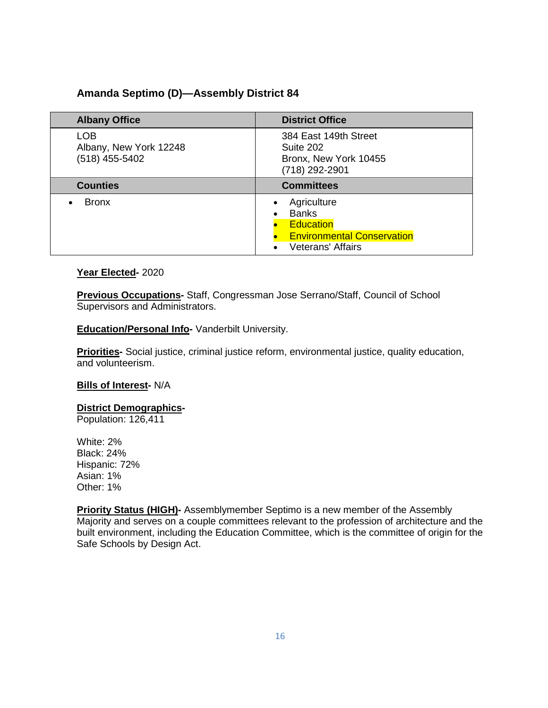# **Amanda Septimo (D)—Assembly District 84**

| <b>Albany Office</b>                                     | <b>District Office</b>                                                                                           |
|----------------------------------------------------------|------------------------------------------------------------------------------------------------------------------|
| <b>LOB</b><br>Albany, New York 12248<br>$(518)$ 455-5402 | 384 East 149th Street<br>Suite 202<br>Bronx, New York 10455<br>(718) 292-2901                                    |
| <b>Counties</b>                                          | <b>Committees</b>                                                                                                |
| <b>Bronx</b>                                             | Agriculture<br><b>Banks</b><br><b>Education</b><br><b>Environmental Conservation</b><br><b>Veterans' Affairs</b> |

### **Year Elected-** 2020

**Previous Occupations-** Staff, Congressman Jose Serrano/Staff, Council of School Supervisors and Administrators.

### **Education/Personal Info-** Vanderbilt University.

**Priorities-** Social justice, criminal justice reform, environmental justice, quality education, and volunteerism.

### **Bills of Interest-** N/A

**District Demographics -**

Population: 126,411

White: 2% Black: 24% Hispanic: 72% Asian: 1% Other: 1%

**Priority Status (HIGH)-** Assemblymember Septimo is a new member of the Assembly Majority and serves on a couple committees relevant to the profession of architecture and the built environment, including the Education Committee, which is the committee of origin for the Safe Schools by Design Act.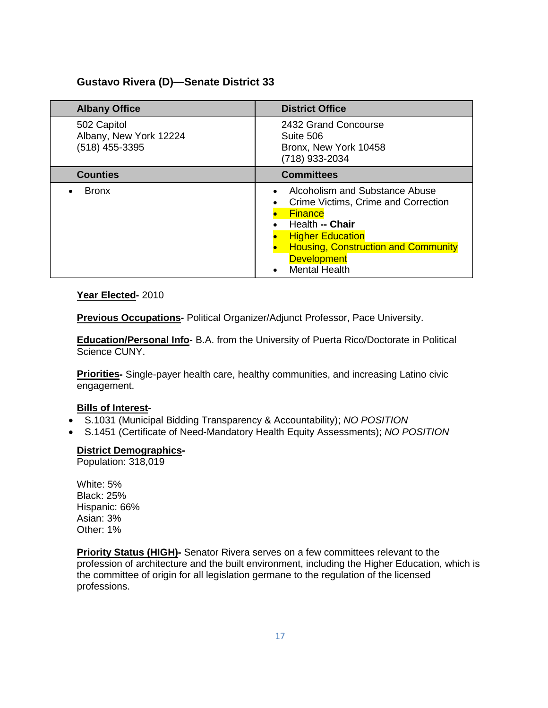## **Gustavo Rivera (D)—Senate District 33**

| <b>Albany Office</b>                                    | <b>District Office</b>                                                                                                                                                                                                            |
|---------------------------------------------------------|-----------------------------------------------------------------------------------------------------------------------------------------------------------------------------------------------------------------------------------|
| 502 Capitol<br>Albany, New York 12224<br>(518) 455-3395 | 2432 Grand Concourse<br>Suite 506<br>Bronx, New York 10458<br>(718) 933-2034                                                                                                                                                      |
| <b>Counties</b>                                         | <b>Committees</b>                                                                                                                                                                                                                 |
| <b>Bronx</b>                                            | Alcoholism and Substance Abuse<br>Crime Victims, Crime and Correction<br><b>Finance</b><br>Health -- Chair<br><b>Higher Education</b><br><b>Housing, Construction and Community</b><br><b>Development</b><br><b>Mental Health</b> |

### **Year Elected-** 2010

**Previous Occupations-** Political Organizer/Adjunct Professor, Pace University.

**Education/Personal Info-** B.A. from the University of Puerta Rico/Doctorate in Political Science CUNY.

**Priorities-** Single-payer health care, healthy communities, and increasing Latino civic engagement.

## **Bills of Interest -**

- S.1031 (Municipal Bidding Transparency & Accountability); *NO POSITION*
- S.1451 (Certificate of Need-Mandatory Health Equity Assessments); *NO POSITION*

#### **District Demographics -**

Population: 318,019

White: 5% Black: 25% Hispanic: 66% Asian: 3% Other: 1%

**Priority Status (HIGH)-** Senator Rivera serves on a few committees relevant to the profession of architecture and the built environment, including the Higher Education, which is the committee of origin for all legislation germane to the regulation of the licensed professions.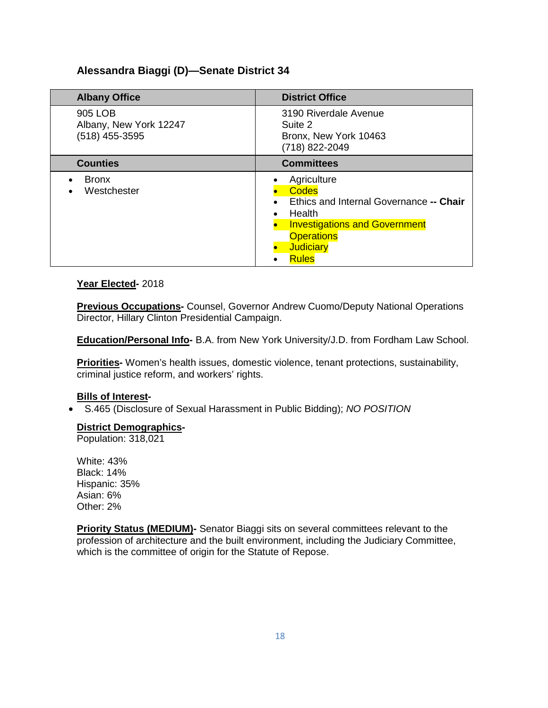# **Alessandra Biaggi (D)—Senate District 34**

| <b>Albany Office</b>                                  | <b>District Office</b>                                                                                                                                                            |
|-------------------------------------------------------|-----------------------------------------------------------------------------------------------------------------------------------------------------------------------------------|
| 905 LOB<br>Albany, New York 12247<br>$(518)$ 455-3595 | 3190 Riverdale Avenue<br>Suite 2<br>Bronx, New York 10463<br>(718) 822-2049                                                                                                       |
| <b>Counties</b>                                       | <b>Committees</b>                                                                                                                                                                 |
| <b>Bronx</b><br>Westchester                           | Agriculture<br><b>Codes</b><br>Ethics and Internal Governance -- Chair<br>Health<br><b>Investigations and Government</b><br><b>Operations</b><br><b>Judiciary</b><br><b>Rules</b> |

### **Year Elected-** 2018

**Previous Occupations-** Counsel, Governor Andrew Cuomo/Deputy National Operations Director, Hillary Clinton Presidential Campaign.

**Education/Personal Info-** B.A. from New York University/J.D. from Fordham Law School.

**Priorities-** Women's health issues, domestic violence, tenant protections, sustainability, criminal justice reform, and workers' rights.

## **Bills of Interest -**

• S.465 (Disclosure of Sexual Harassment in Public Bidding); *NO POSITION*

#### **District Demographics -**

Population: 318,021

White: 43% Black: 14% Hispanic: 35% Asian: 6% Other: 2%

**Priority Status (MEDIUM)-** Senator Biaggi sits on several committees relevant to the profession of architecture and the built environment, including the Judiciary Committee, which is the committee of origin for the Statute of Repose.